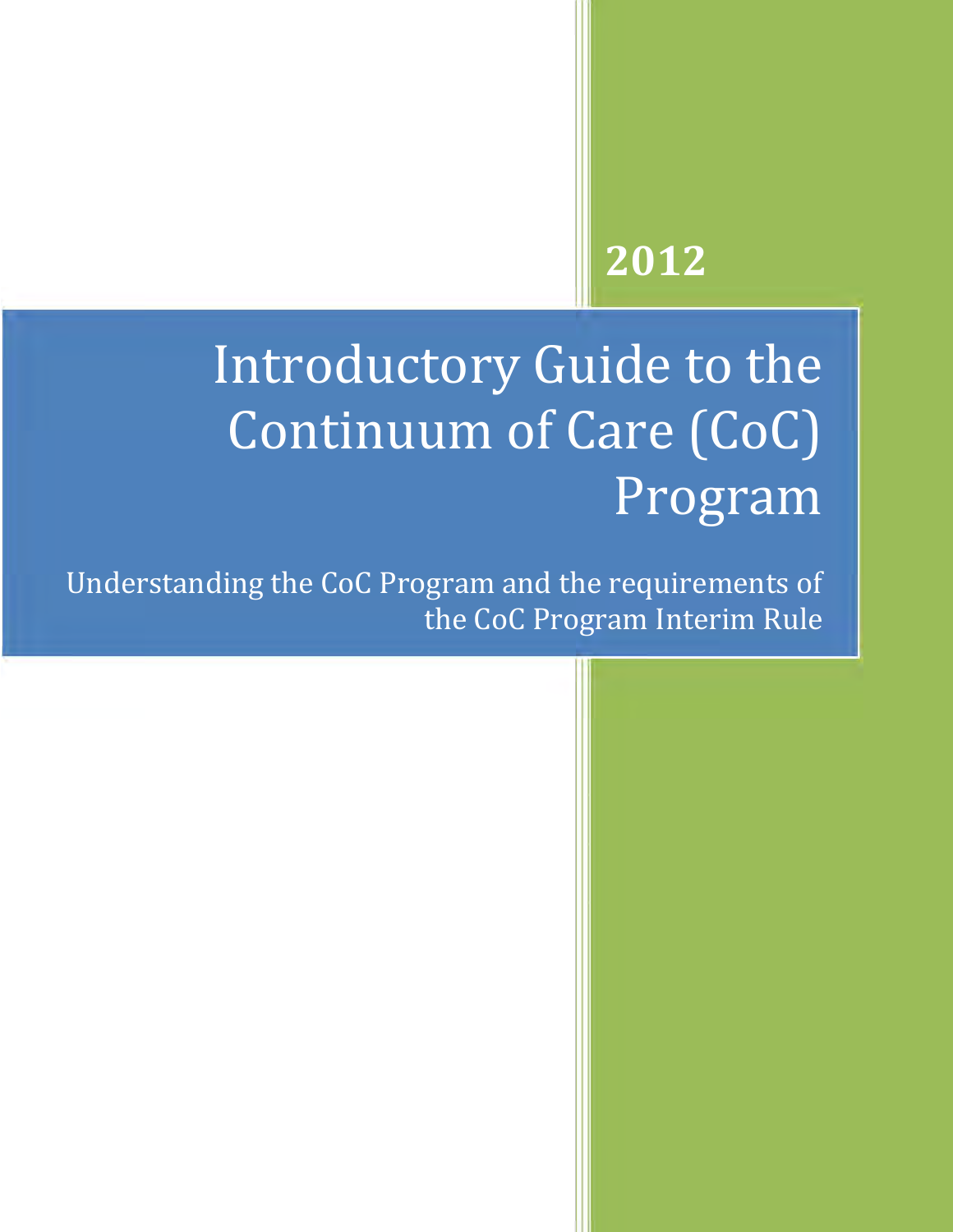## **2012**

# Introductory Guide to the Continuum of Care (CoC) Program

Understanding the CoC Program and the requirements of the CoC Program Interim Rule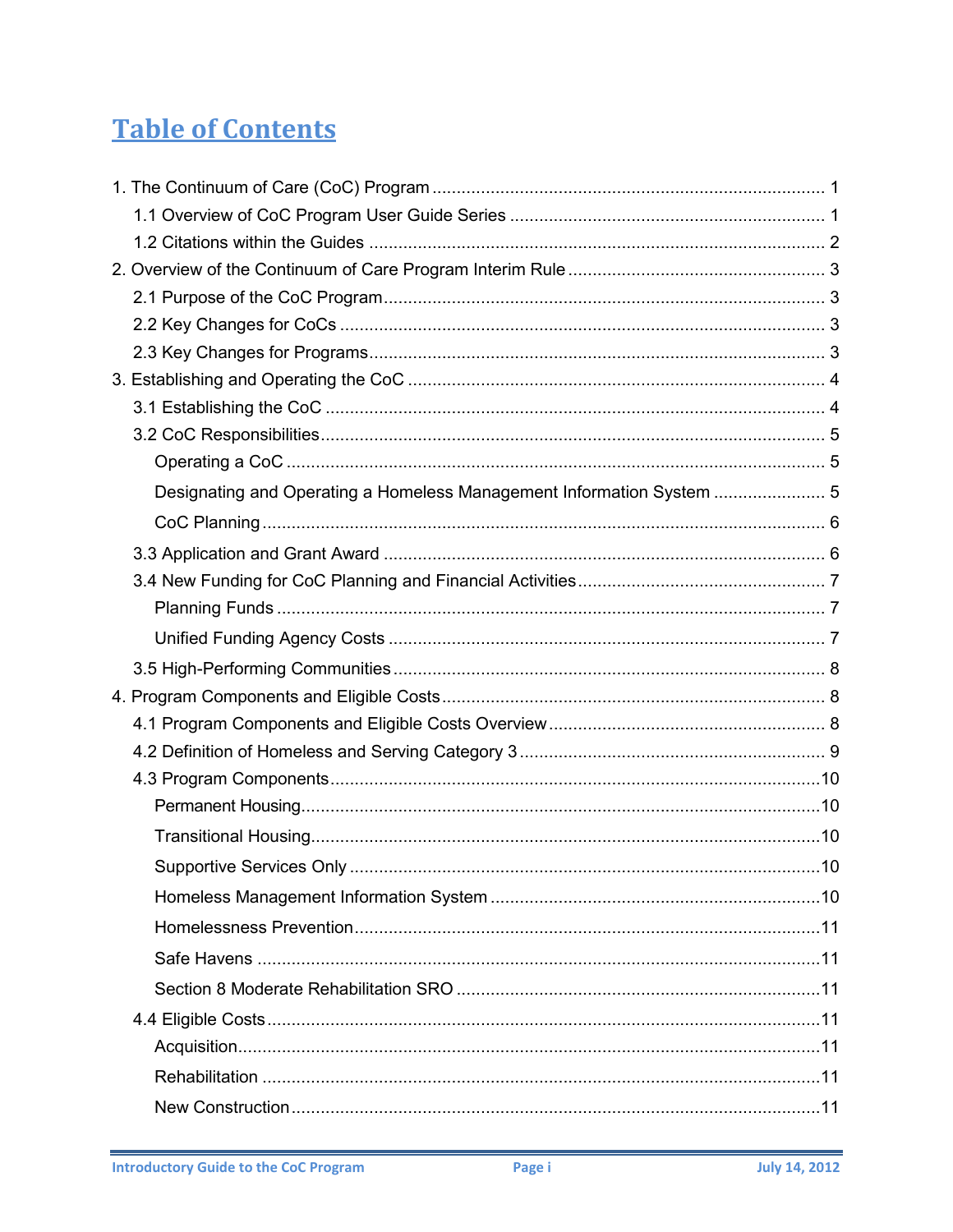## **Table of Contents**

| Designating and Operating a Homeless Management Information System  5 |  |
|-----------------------------------------------------------------------|--|
|                                                                       |  |
|                                                                       |  |
|                                                                       |  |
|                                                                       |  |
|                                                                       |  |
|                                                                       |  |
|                                                                       |  |
|                                                                       |  |
|                                                                       |  |
|                                                                       |  |
|                                                                       |  |
|                                                                       |  |
|                                                                       |  |
|                                                                       |  |
|                                                                       |  |
|                                                                       |  |
|                                                                       |  |
|                                                                       |  |
|                                                                       |  |
|                                                                       |  |
|                                                                       |  |
|                                                                       |  |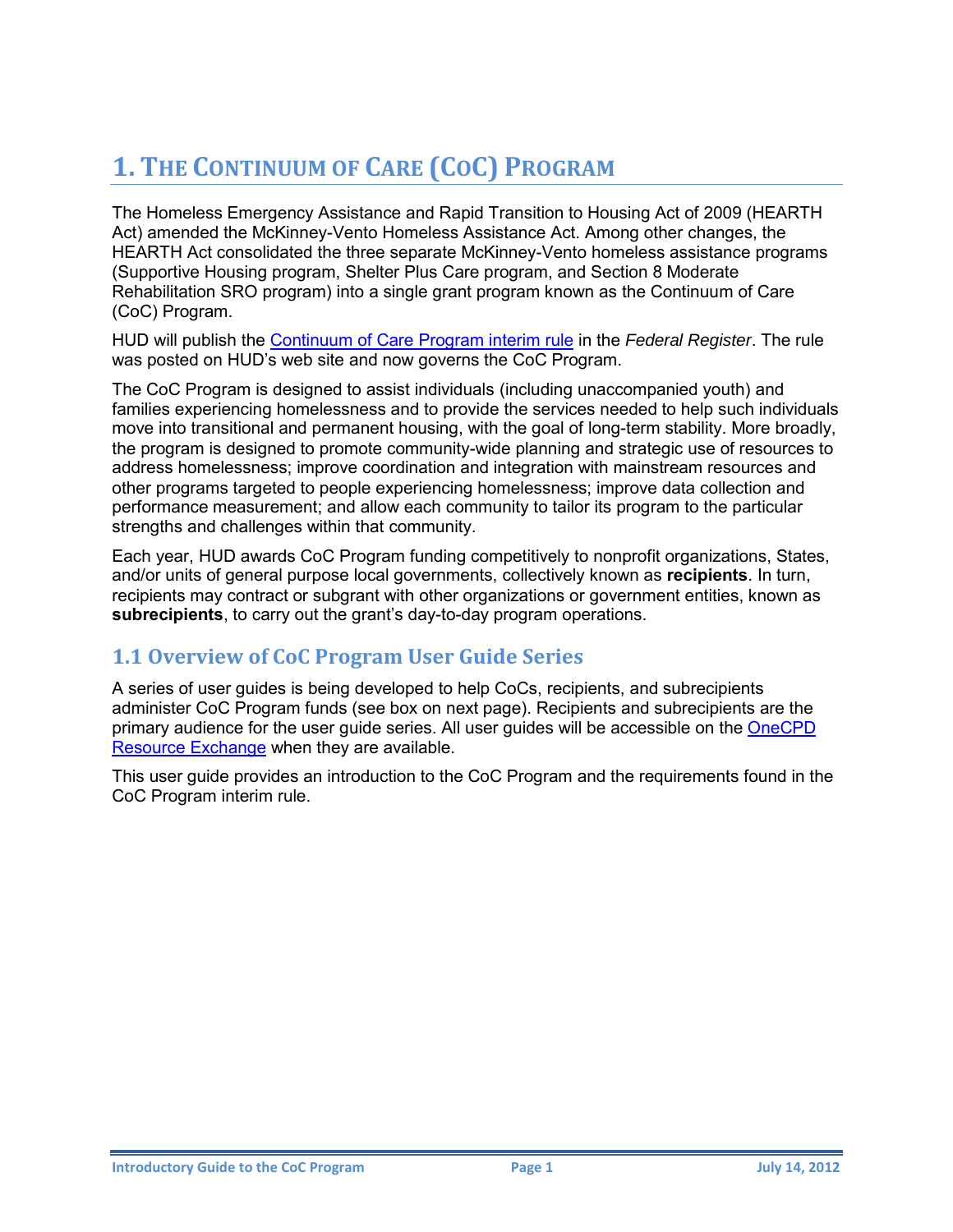## <span id="page-3-0"></span>**1. THE CONTINUUM OF CARE (COC) PROGRAM**

The Homeless Emergency Assistance and Rapid Transition to Housing Act of 2009 (HEARTH Act) amended the McKinney-Vento Homeless Assistance Act. Among other changes, the HEARTH Act consolidated the three separate McKinney-Vento homeless assistance programs (Supportive Housing program, Shelter Plus Care program, and Section 8 Moderate Rehabilitation SRO program) into a single grant program known as the Continuum of Care (CoC) Program.

HUD will publish the [Continuum of Care Program interim rule](https://www.onecpd.info/resource/2033/hearth-coc-program-interim-rule/) in the *Federal Register*. The rule was posted on HUD's web site and now governs the CoC Program.

The CoC Program is designed to assist individuals (including unaccompanied youth) and families experiencing homelessness and to provide the services needed to help such individuals move into transitional and permanent housing, with the goal of long-term stability. More broadly, the program is designed to promote community-wide planning and strategic use of resources to address homelessness; improve coordination and integration with mainstream resources and other programs targeted to people experiencing homelessness; improve data collection and performance measurement; and allow each community to tailor its program to the particular strengths and challenges within that community.

Each year, HUD awards CoC Program funding competitively to nonprofit organizations, States, and/or units of general purpose local governments, collectively known as **recipients**. In turn, recipients may contract or subgrant with other organizations or government entities, known as **subrecipients**, to carry out the grant's day-to-day program operations.

#### <span id="page-3-1"></span>**1.1 Overview of CoC Program User Guide Series**

A series of user guides is being developed to help CoCs, recipients, and subrecipients administer CoC Program funds (see box on next page). Recipients and subrecipients are the primary audience for the user guide series. All user guides will be accessible on the [OneCPD](https://www.onecpd.info/)  [Resource Exchange](https://www.onecpd.info/) when they are available.

This user guide provides an introduction to the CoC Program and the requirements found in the CoC Program interim rule.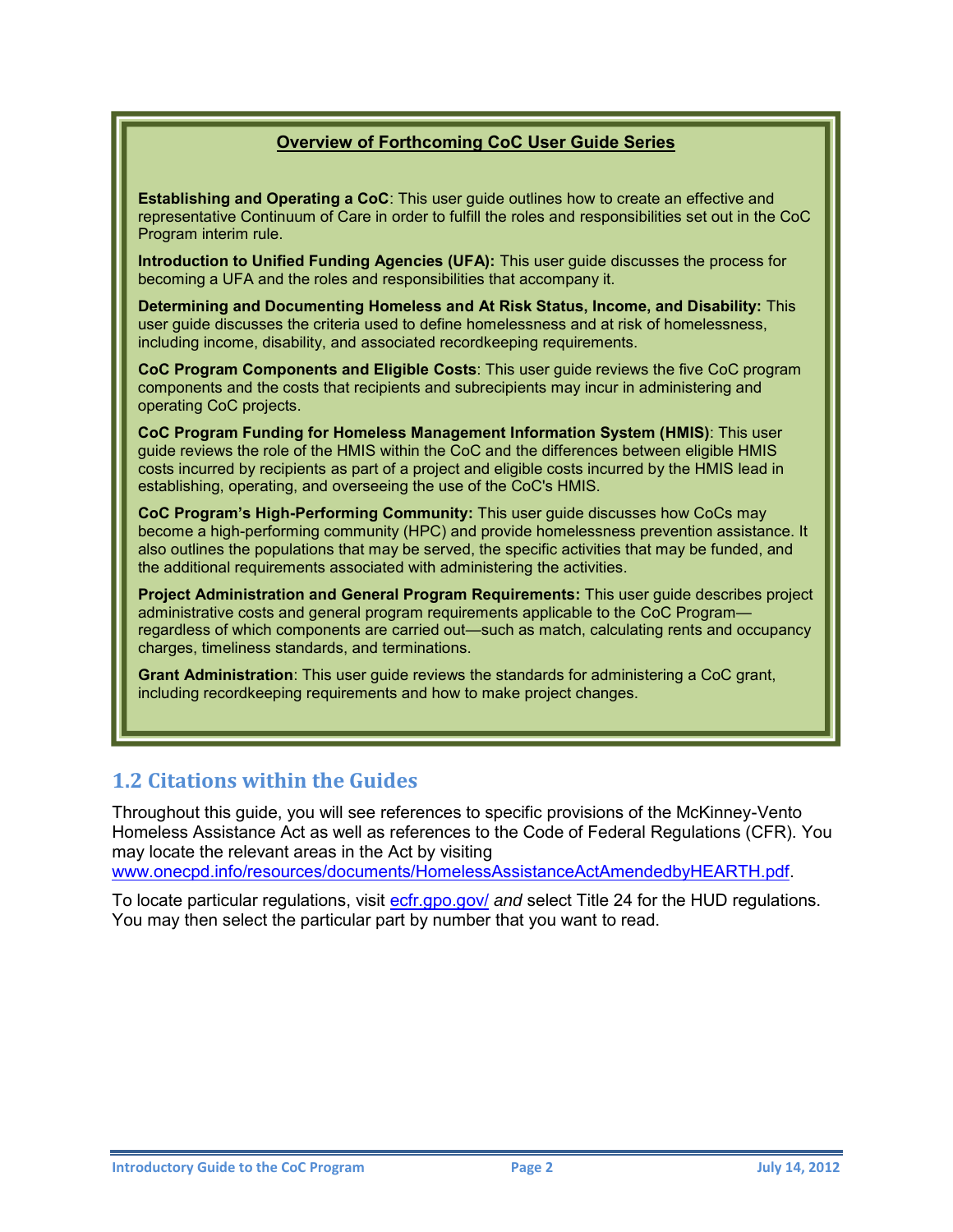#### **Overview of Forthcoming CoC User Guide Series**

**Establishing and Operating a CoC**: This user guide outlines how to create an effective and representative Continuum of Care in order to fulfill the roles and responsibilities set out in the CoC Program interim rule.

**Introduction to Unified Funding Agencies (UFA):** This user guide discusses the process for becoming a UFA and the roles and responsibilities that accompany it.

**Determining and Documenting Homeless and At Risk Status, Income, and Disability:** This user guide discusses the criteria used to define homelessness and at risk of homelessness, including income, disability, and associated recordkeeping requirements.

**CoC Program Components and Eligible Costs**: This user guide reviews the five CoC program components and the costs that recipients and subrecipients may incur in administering and operating CoC projects.

**CoC Program Funding for Homeless Management Information System (HMIS)**: This user guide reviews the role of the HMIS within the CoC and the differences between eligible HMIS costs incurred by recipients as part of a project and eligible costs incurred by the HMIS lead in establishing, operating, and overseeing the use of the CoC's HMIS.

**CoC Program's High-Performing Community:** This user guide discusses how CoCs may become a high-performing community (HPC) and provide homelessness prevention assistance. It also outlines the populations that may be served, the specific activities that may be funded, and the additional requirements associated with administering the activities.

**Project Administration and [General Program Requirements:](http://hudhre.info/index.cfm?do=viewResource&ResourceID=4545)** This user guide describes project administrative costs and general program requirements applicable to the CoC Program regardless of which components are carried out—such as match, calculating rents and occupancy charges, timeliness standards, and terminations.

**Grant Administration**: This user guide reviews the standards for administering a CoC grant, including recordkeeping requirements and how to make project changes.

#### <span id="page-4-0"></span>**1.2 Citations within the Guides**

Throughout this guide, you will see references to specific provisions of the McKinney-Vento Homeless Assistance Act as well as references to the Code of Federal Regulations (CFR). You may locate the relevant areas in the Act by visiting [www.onecpd.info/resources/documents/HomelessAssistanceActAmendedbyHEARTH.pdf.](https://www.onecpd.info/resources/documents/HomelessAssistanceActAmendedbyHEARTH.pdf)

To locate particular regulations, visit [ecfr.gpo.gov/](http://ecfr.gpoaccess.gov/cgi/t/text/text-idx?c=ecfr&tpl=%2Findex.tpl) *and* select Title 24 for the HUD regulations. You may then select the particular part by number that you want to read.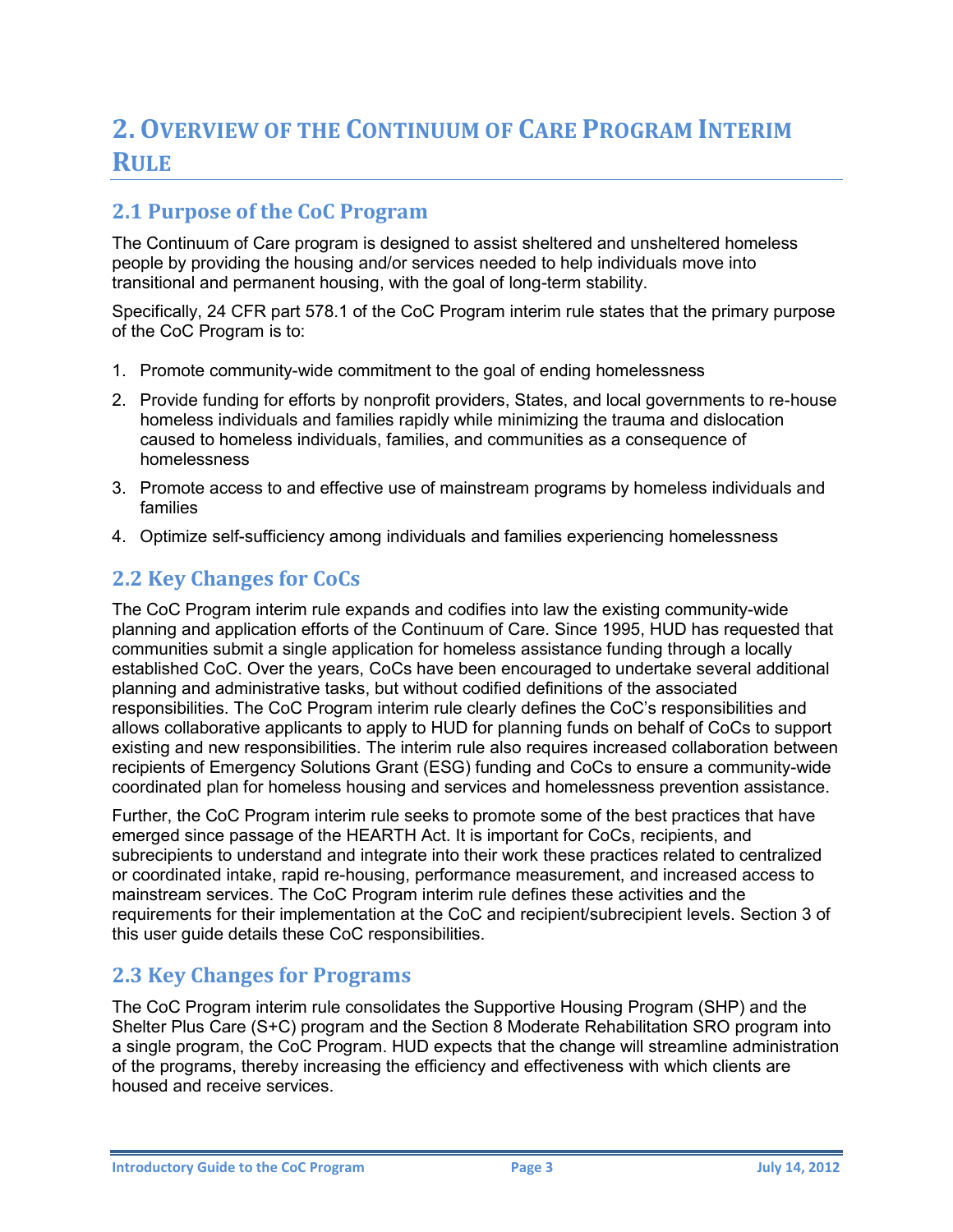## <span id="page-5-0"></span>**2. OVERVIEW OF THE CONTINUUM OF CARE PROGRAM INTERIM RULE**

#### <span id="page-5-1"></span>**2.1 Purpose of the CoC Program**

The Continuum of Care program is designed to assist sheltered and unsheltered homeless people by providing the housing and/or services needed to help individuals move into transitional and permanent housing, with the goal of long-term stability.

Specifically, 24 CFR part 578.1 of the CoC Program interim rule states that the primary purpose of the CoC Program is to:

- 1. Promote community-wide commitment to the goal of ending homelessness
- 2. Provide funding for efforts by nonprofit providers, States, and local governments to re-house homeless individuals and families rapidly while minimizing the trauma and dislocation caused to homeless individuals, families, and communities as a consequence of homelessness
- 3. Promote access to and effective use of mainstream programs by homeless individuals and families
- 4. Optimize self-sufficiency among individuals and families experiencing homelessness

#### <span id="page-5-2"></span>**2.2 Key Changes for CoCs**

The CoC Program interim rule expands and codifies into law the existing community-wide planning and application efforts of the Continuum of Care. Since 1995, HUD has requested that communities submit a single application for homeless assistance funding through a locally established CoC. Over the years, CoCs have been encouraged to undertake several additional planning and administrative tasks, but without codified definitions of the associated responsibilities. The CoC Program interim rule clearly defines the CoC's responsibilities and allows collaborative applicants to apply to HUD for planning funds on behalf of CoCs to support existing and new responsibilities. The interim rule also requires increased collaboration between recipients of Emergency Solutions Grant (ESG) funding and CoCs to ensure a community-wide coordinated plan for homeless housing and services and homelessness prevention assistance.

Further, the CoC Program interim rule seeks to promote some of the best practices that have emerged since passage of the HEARTH Act. It is important for CoCs, recipients, and subrecipients to understand and integrate into their work these practices related to centralized or coordinated intake, rapid re-housing, performance measurement, and increased access to mainstream services. The CoC Program interim rule defines these activities and the requirements for their implementation at the CoC and recipient/subrecipient levels. Section 3 of this user guide details these CoC responsibilities.

#### <span id="page-5-3"></span>**2.3 Key Changes for Programs**

The CoC Program interim rule consolidates the Supportive Housing Program (SHP) and the Shelter Plus Care (S+C) program and the Section 8 Moderate Rehabilitation SRO program into a single program, the CoC Program. HUD expects that the change will streamline administration of the programs, thereby increasing the efficiency and effectiveness with which clients are housed and receive services.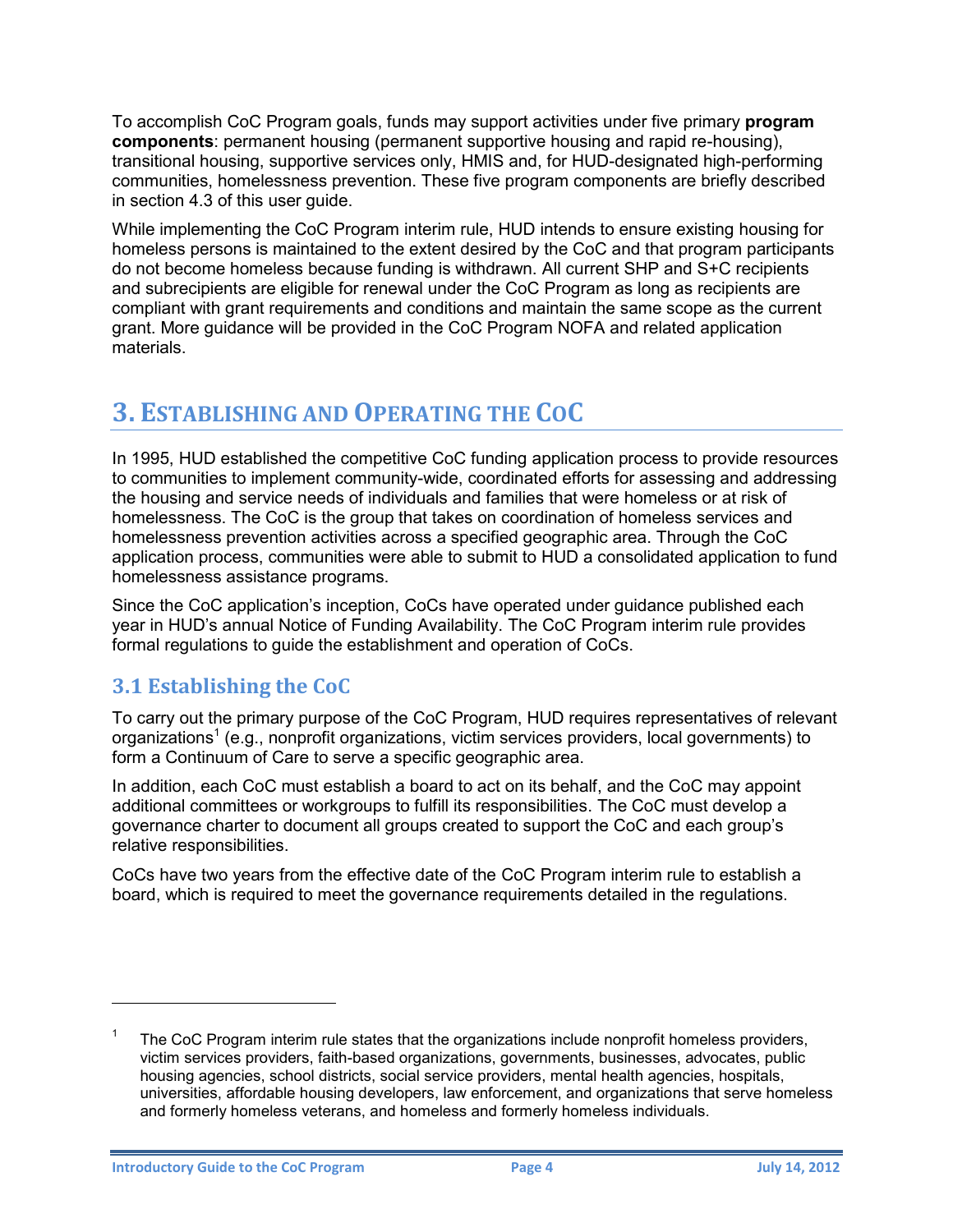To accomplish CoC Program goals, funds may support activities under five primary **program components**: permanent housing (permanent supportive housing and rapid re-housing), transitional housing, supportive services only, HMIS and, for HUD-designated high-performing communities, homelessness prevention. These five program components are briefly described in section 4.3 of this user guide.

While implementing the CoC Program interim rule, HUD intends to ensure existing housing for homeless persons is maintained to the extent desired by the CoC and that program participants do not become homeless because funding is withdrawn. All current SHP and S+C recipients and subrecipients are eligible for renewal under the CoC Program as long as recipients are compliant with grant requirements and conditions and maintain the same scope as the current grant. More guidance will be provided in the CoC Program NOFA and related application materials.

## <span id="page-6-0"></span>**3. ESTABLISHING AND OPERATING THE COC**

In 1995, HUD established the competitive CoC funding application process to provide resources to communities to implement community-wide, coordinated efforts for assessing and addressing the housing and service needs of individuals and families that were homeless or at risk of homelessness. The CoC is the group that takes on coordination of homeless services and homelessness prevention activities across a specified geographic area. Through the CoC application process, communities were able to submit to HUD a consolidated application to fund homelessness assistance programs.

Since the CoC application's inception, CoCs have operated under guidance published each year in HUD's annual Notice of Funding Availability. The CoC Program interim rule provides formal regulations to guide the establishment and operation of CoCs.

#### <span id="page-6-1"></span>**3.1 Establishing the CoC**

To carry out the primary purpose of the CoC Program, HUD requires representatives of relevant organizations<sup>1</sup> (e.g., nonprofit organizations, victim services providers, local governments) to form a Continuum of Care to serve a specific geographic area.

In addition, each CoC must establish a board to act on its behalf, and the CoC may appoint additional committees or workgroups to fulfill its responsibilities. The CoC must develop a governance charter to document all groups created to support the CoC and each group's relative responsibilities.

CoCs have two years from the effective date of the CoC Program interim rule to establish a board, which is required to meet the governance requirements detailed in the regulations.

 $\overline{a}$ 

<sup>1</sup> The CoC Program interim rule states that the organizations include nonprofit homeless providers, victim services providers, faith-based organizations, governments, businesses, advocates, public housing agencies, school districts, social service providers, mental health agencies, hospitals, universities, affordable housing developers, law enforcement, and organizations that serve homeless and formerly homeless veterans, and homeless and formerly homeless individuals.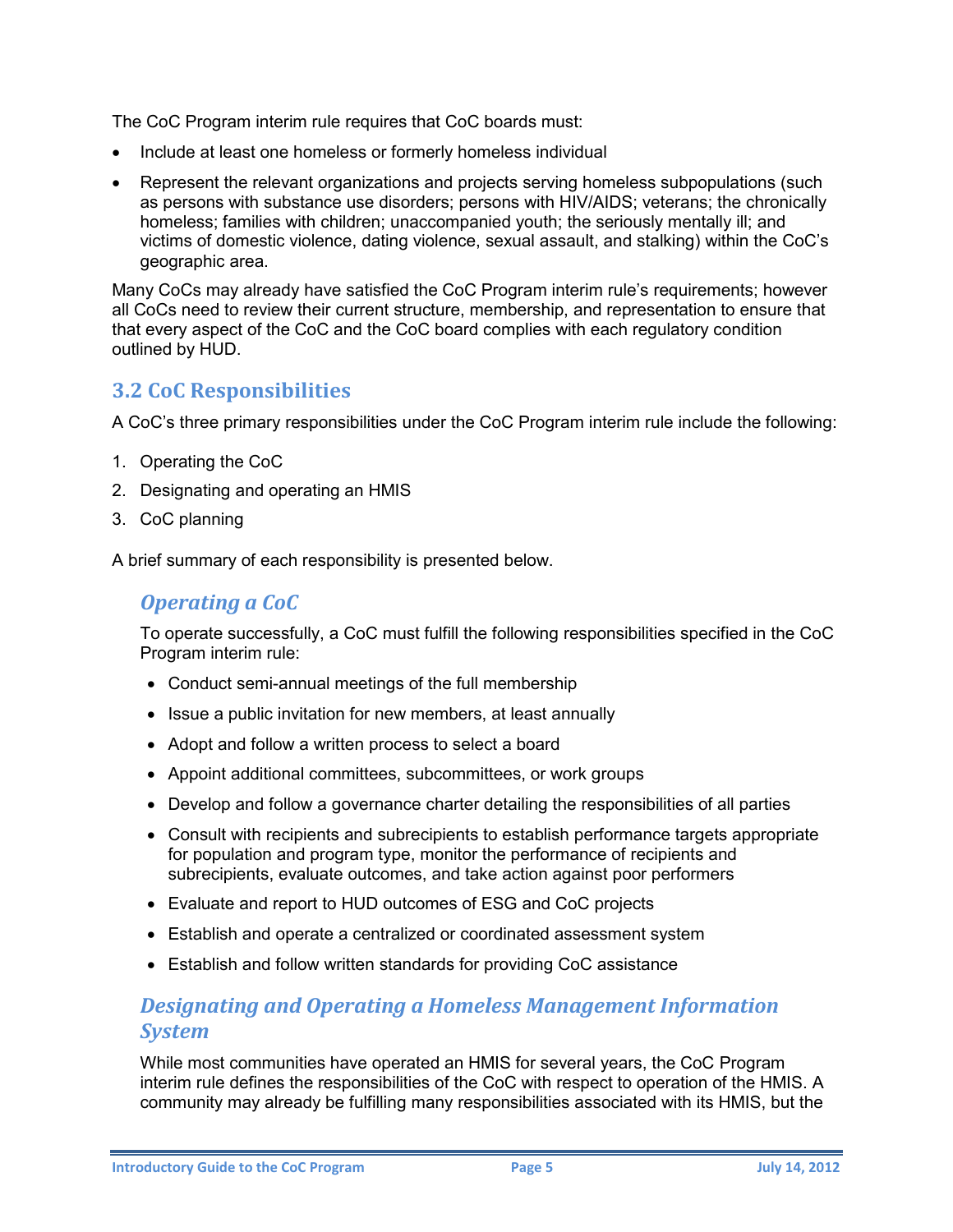The CoC Program interim rule requires that CoC boards must:

- Include at least one homeless or formerly homeless individual
- Represent the relevant organizations and projects serving homeless subpopulations (such as persons with substance use disorders; persons with HIV/AIDS; veterans; the chronically homeless; families with children; unaccompanied youth; the seriously mentally ill; and victims of domestic violence, dating violence, sexual assault, and stalking) within the CoC's geographic area.

Many CoCs may already have satisfied the CoC Program interim rule's requirements; however all CoCs need to review their current structure, membership, and representation to ensure that that every aspect of the CoC and the CoC board complies with each regulatory condition outlined by HUD.

#### <span id="page-7-0"></span>**3.2 CoC Responsibilities**

A CoC's three primary responsibilities under the CoC Program interim rule include the following:

- 1. Operating the CoC
- 2. Designating and operating an HMIS
- 3. CoC planning

<span id="page-7-1"></span>A brief summary of each responsibility is presented below.

#### *Operating a CoC*

To operate successfully, a CoC must fulfill the following responsibilities specified in the CoC Program interim rule:

- Conduct semi-annual meetings of the full membership
- Issue a public invitation for new members, at least annually
- Adopt and follow a written process to select a board
- Appoint additional committees, subcommittees, or work groups
- Develop and follow a governance charter detailing the responsibilities of all parties
- Consult with recipients and subrecipients to establish performance targets appropriate for population and program type, monitor the performance of recipients and subrecipients, evaluate outcomes, and take action against poor performers
- Evaluate and report to HUD outcomes of ESG and CoC projects
- Establish and operate a centralized or coordinated assessment system
- Establish and follow written standards for providing CoC assistance

#### <span id="page-7-2"></span>*Designating and Operating a Homeless Management Information System*

While most communities have operated an HMIS for several years, the CoC Program interim rule defines the responsibilities of the CoC with respect to operation of the HMIS. A community may already be fulfilling many responsibilities associated with its HMIS, but the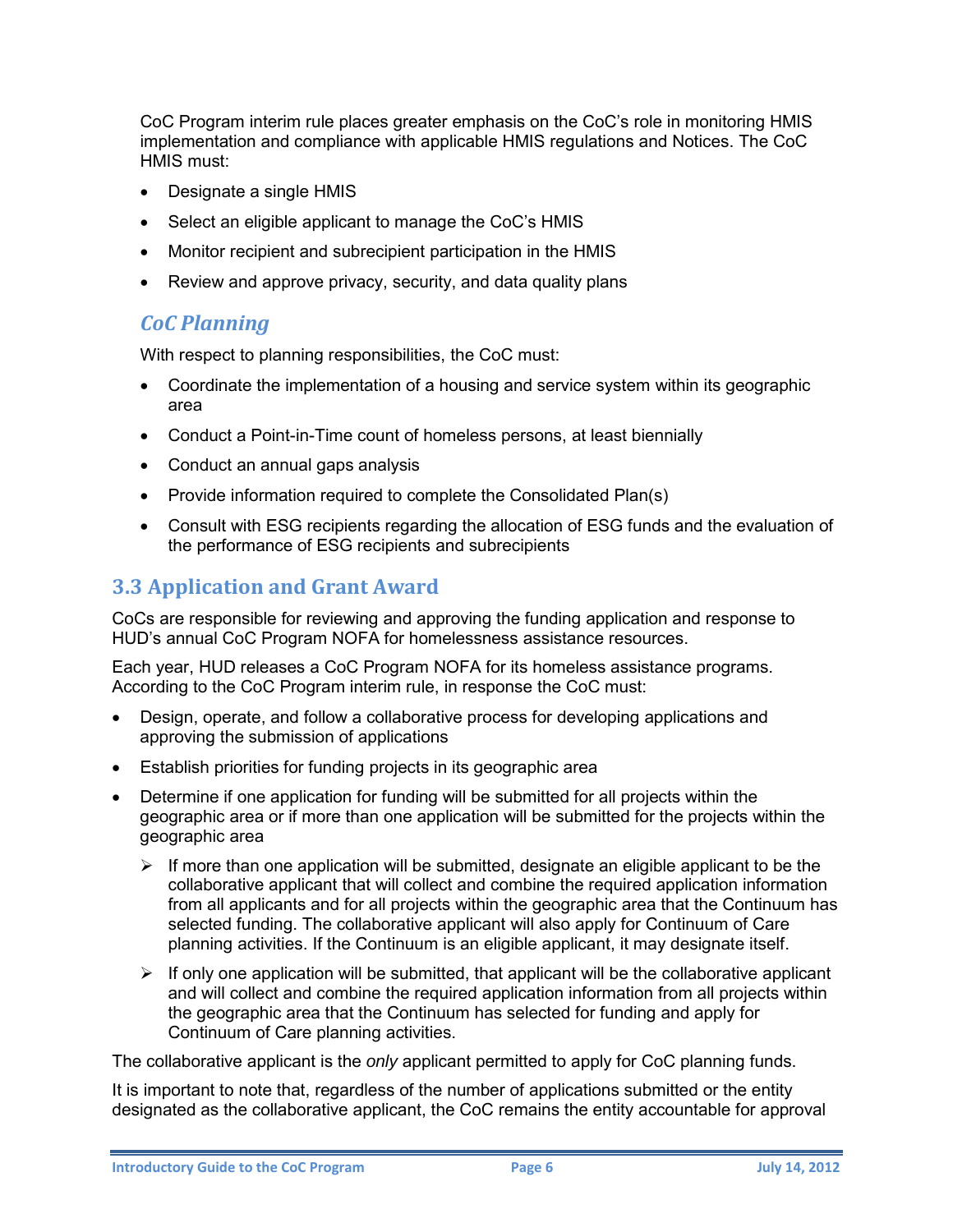CoC Program interim rule places greater emphasis on the CoC's role in monitoring HMIS implementation and compliance with applicable HMIS regulations and Notices. The CoC HMIS must:

- Designate a single HMIS
- Select an eligible applicant to manage the CoC's HMIS
- Monitor recipient and subrecipient participation in the HMIS
- <span id="page-8-0"></span>Review and approve privacy, security, and data quality plans

#### *CoC Planning*

With respect to planning responsibilities, the CoC must:

- Coordinate the implementation of a housing and service system within its geographic area
- Conduct a Point-in-Time count of homeless persons, at least biennially
- Conduct an annual gaps analysis
- Provide information required to complete the Consolidated Plan(s)
- Consult with ESG recipients regarding the allocation of ESG funds and the evaluation of the performance of ESG recipients and subrecipients

#### <span id="page-8-1"></span>**3.3 Application and Grant Award**

CoCs are responsible for reviewing and approving the funding application and response to HUD's annual CoC Program NOFA for homelessness assistance resources.

Each year, HUD releases a CoC Program NOFA for its homeless assistance programs. According to the CoC Program interim rule, in response the CoC must:

- Design, operate, and follow a collaborative process for developing applications and approving the submission of applications
- Establish priorities for funding projects in its geographic area
- Determine if one application for funding will be submitted for all projects within the geographic area or if more than one application will be submitted for the projects within the geographic area
	- $\triangleright$  If more than one application will be submitted, designate an eligible applicant to be the collaborative applicant that will collect and combine the required application information from all applicants and for all projects within the geographic area that the Continuum has selected funding. The collaborative applicant will also apply for Continuum of Care planning activities. If the Continuum is an eligible applicant, it may designate itself.
	- $\triangleright$  If only one application will be submitted, that applicant will be the collaborative applicant and will collect and combine the required application information from all projects within the geographic area that the Continuum has selected for funding and apply for Continuum of Care planning activities.

The collaborative applicant is the *only* applicant permitted to apply for CoC planning funds.

It is important to note that, regardless of the number of applications submitted or the entity designated as the collaborative applicant, the CoC remains the entity accountable for approval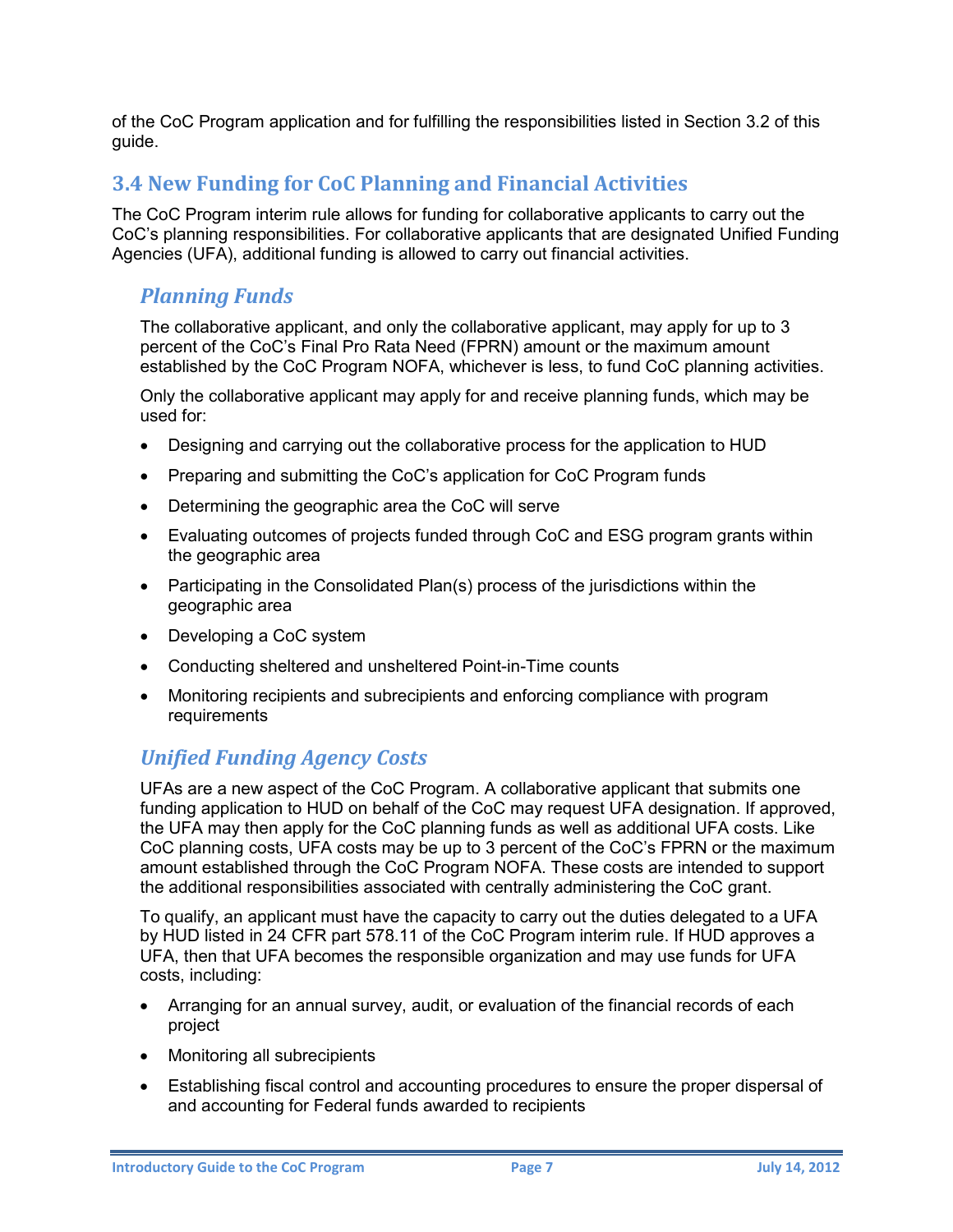of the CoC Program application and for fulfilling the responsibilities listed in Section 3.2 of this guide.

#### <span id="page-9-0"></span>**3.4 New Funding for CoC Planning and Financial Activities**

The CoC Program interim rule allows for funding for collaborative applicants to carry out the CoC's planning responsibilities. For collaborative applicants that are designated Unified Funding Agencies (UFA), additional funding is allowed to carry out financial activities.

#### <span id="page-9-1"></span>*Planning Funds*

The collaborative applicant, and only the collaborative applicant, may apply for up to 3 percent of the CoC's Final Pro Rata Need (FPRN) amount or the maximum amount established by the CoC Program NOFA, whichever is less, to fund CoC planning activities.

Only the collaborative applicant may apply for and receive planning funds, which may be used for:

- Designing and carrying out the collaborative process for the application to HUD
- Preparing and submitting the CoC's application for CoC Program funds
- Determining the geographic area the CoC will serve
- Evaluating outcomes of projects funded through CoC and ESG program grants within the geographic area
- Participating in the Consolidated Plan(s) process of the jurisdictions within the geographic area
- Developing a CoC system
- Conducting sheltered and unsheltered Point-in-Time counts
- Monitoring recipients and subrecipients and enforcing compliance with program requirements

#### <span id="page-9-2"></span>*Unified Funding Agency Costs*

UFAs are a new aspect of the CoC Program. A collaborative applicant that submits one funding application to HUD on behalf of the CoC may request UFA designation. If approved, the UFA may then apply for the CoC planning funds as well as additional UFA costs. Like CoC planning costs, UFA costs may be up to 3 percent of the CoC's FPRN or the maximum amount established through the CoC Program NOFA. These costs are intended to support the additional responsibilities associated with centrally administering the CoC grant.

To qualify, an applicant must have the capacity to carry out the duties delegated to a UFA by HUD listed in 24 CFR part 578.11 of the CoC Program interim rule. If HUD approves a UFA, then that UFA becomes the responsible organization and may use funds for UFA costs, including:

- Arranging for an annual survey, audit, or evaluation of the financial records of each project
- Monitoring all subrecipients
- Establishing fiscal control and accounting procedures to ensure the proper dispersal of and accounting for Federal funds awarded to recipients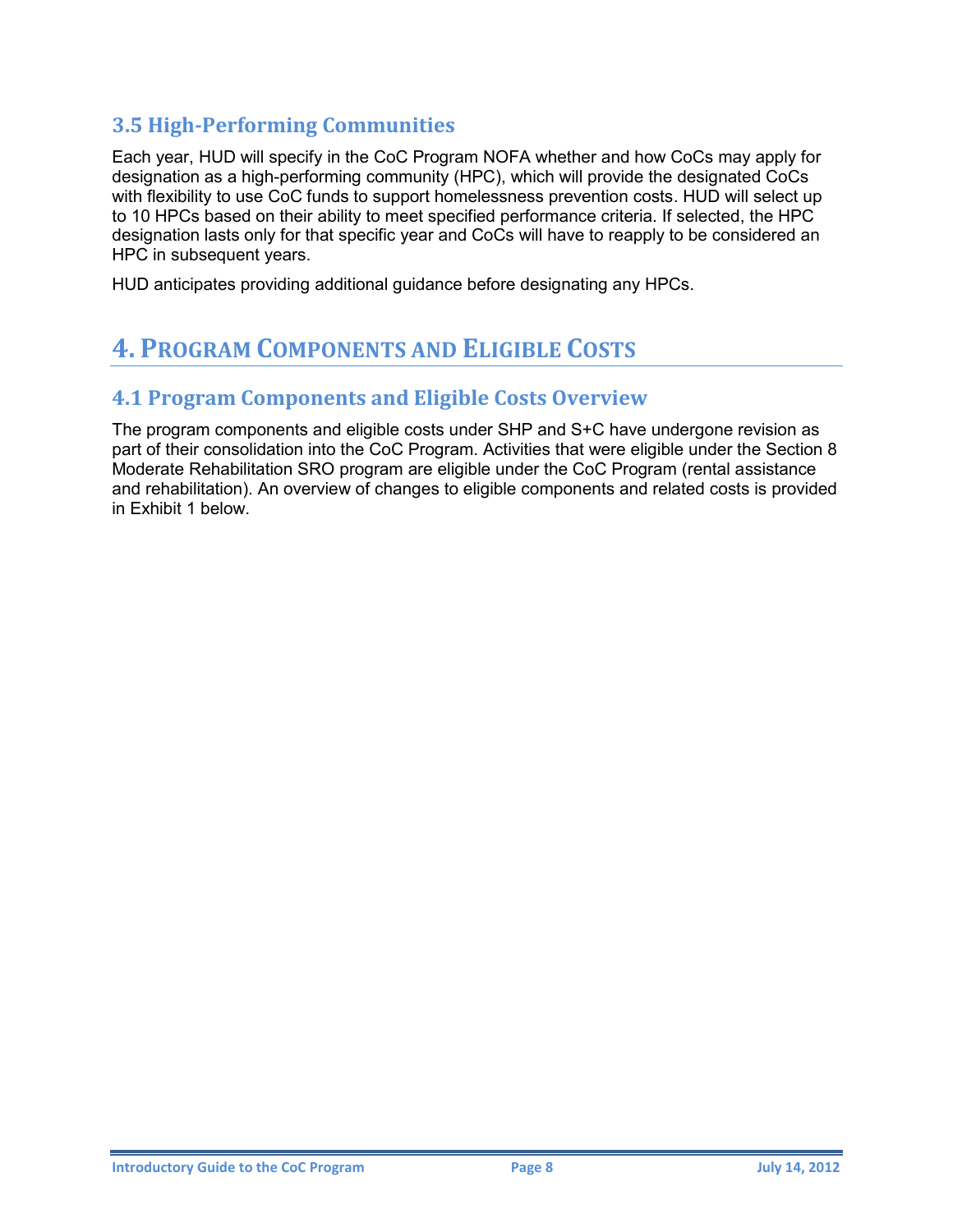#### <span id="page-10-0"></span>**3.5 High-Performing Communities**

Each year, HUD will specify in the CoC Program NOFA whether and how CoCs may apply for designation as a high-performing community (HPC), which will provide the designated CoCs with flexibility to use CoC funds to support homelessness prevention costs. HUD will select up to 10 HPCs based on their ability to meet specified performance criteria. If selected, the HPC designation lasts only for that specific year and CoCs will have to reapply to be considered an HPC in subsequent years.

<span id="page-10-1"></span>HUD anticipates providing additional guidance before designating any HPCs.

## **4. PROGRAM COMPONENTS AND ELIGIBLE COSTS**

#### <span id="page-10-2"></span>**4.1 Program Components and Eligible Costs Overview**

The program components and eligible costs under SHP and S+C have undergone revision as part of their consolidation into the CoC Program. Activities that were eligible under the Section 8 Moderate Rehabilitation SRO program are eligible under the CoC Program (rental assistance and rehabilitation). An overview of changes to eligible components and related costs is provided in Exhibit 1 below.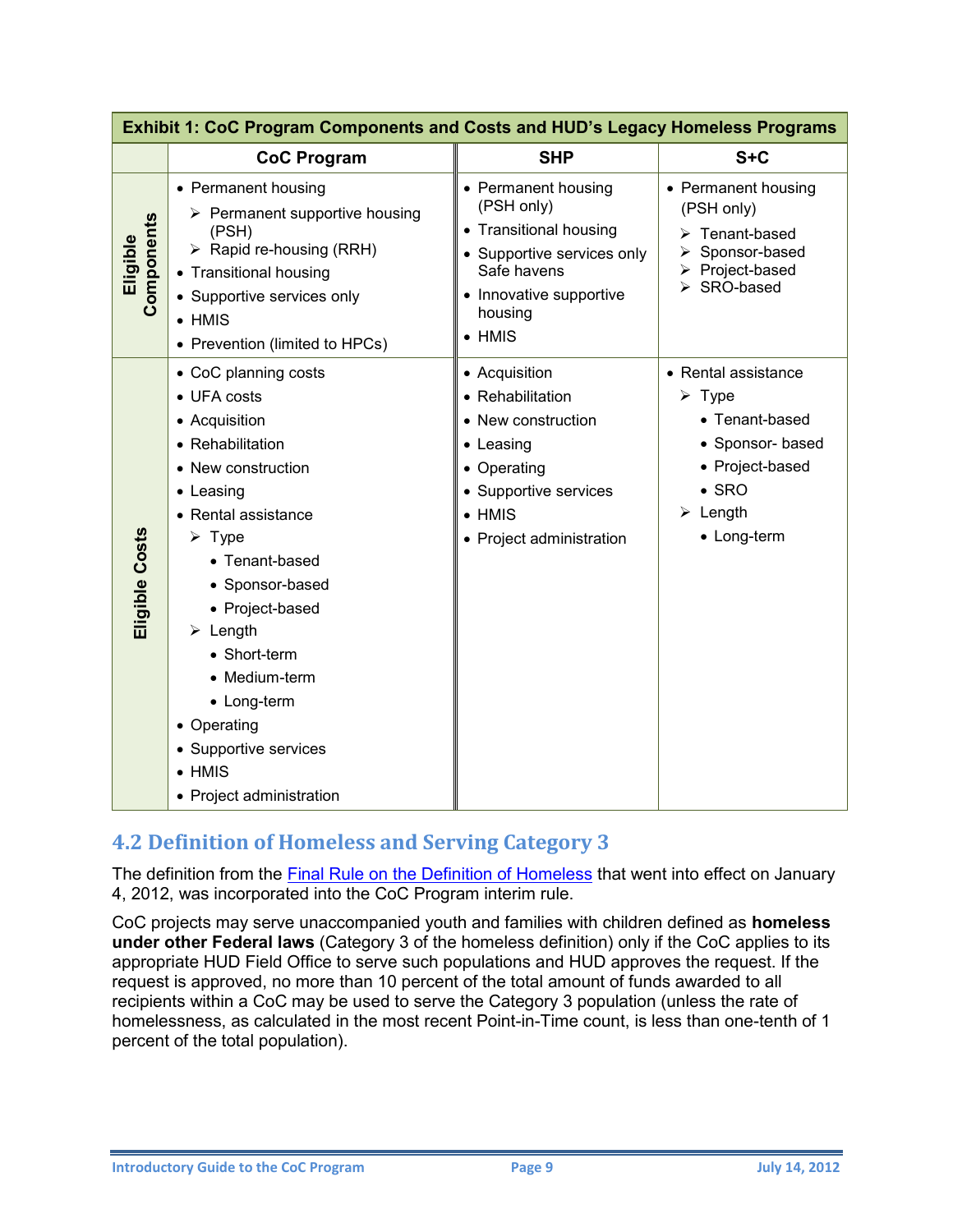| Exhibit 1: CoC Program Components and Costs and HUD's Legacy Homeless Programs |                                                                                                                                                                                                                                                                                                                                                                                      |                                                                                                                                                                  |                                                                                                                                                                  |  |  |
|--------------------------------------------------------------------------------|--------------------------------------------------------------------------------------------------------------------------------------------------------------------------------------------------------------------------------------------------------------------------------------------------------------------------------------------------------------------------------------|------------------------------------------------------------------------------------------------------------------------------------------------------------------|------------------------------------------------------------------------------------------------------------------------------------------------------------------|--|--|
|                                                                                | <b>CoC Program</b>                                                                                                                                                                                                                                                                                                                                                                   | <b>SHP</b>                                                                                                                                                       | $S + C$                                                                                                                                                          |  |  |
| Components<br>Eligible                                                         | • Permanent housing<br>$\triangleright$ Permanent supportive housing<br>(PSH)<br>$\triangleright$ Rapid re-housing (RRH)<br>• Transitional housing<br>• Supportive services only<br>$\bullet$ HMIS<br>• Prevention (limited to HPCs)                                                                                                                                                 | • Permanent housing<br>(PSH only)<br>• Transitional housing<br>• Supportive services only<br>Safe havens<br>• Innovative supportive<br>housing<br>$\bullet$ HMIS | • Permanent housing<br>(PSH only)<br>> Tenant-based<br>> Sponsor-based<br>> Project-based<br>▶ SRO-based                                                         |  |  |
| Eligible Costs                                                                 | • CoC planning costs<br>• UFA costs<br>• Acquisition<br>• Rehabilitation<br>• New construction<br>• Leasing<br>• Rental assistance<br>$\triangleright$ Type<br>• Tenant-based<br>• Sponsor-based<br>• Project-based<br>$\triangleright$ Length<br>• Short-term<br>• Medium-term<br>• Long-term<br>• Operating<br>• Supportive services<br>$\bullet$ HMIS<br>• Project administration | • Acquisition<br>• Rehabilitation<br>• New construction<br>• Leasing<br>• Operating<br>• Supportive services<br>$\bullet$ HMIS<br>• Project administration       | • Rental assistance<br>$\triangleright$ Type<br>• Tenant-based<br>• Sponsor- based<br>• Project-based<br>$\bullet$ SRO<br>$\triangleright$ Length<br>• Long-term |  |  |

#### <span id="page-11-0"></span>**4.2 Definition of Homeless and Serving Category 3**

The definition from the [Final Rule on the Definition of Homeless](https://www.onecpd.info/resource/1928/hearth-defining-homeless-final-rule/) that went into effect on January 4, 2012, was incorporated into the CoC Program interim rule.

CoC projects may serve unaccompanied youth and families with children defined as **homeless under other Federal laws** (Category 3 of the homeless definition) only if the CoC applies to its appropriate HUD Field Office to serve such populations and HUD approves the request. If the request is approved, no more than 10 percent of the total amount of funds awarded to all recipients within a CoC may be used to serve the Category 3 population (unless the rate of homelessness, as calculated in the most recent Point-in-Time count, is less than one-tenth of 1 percent of the total population).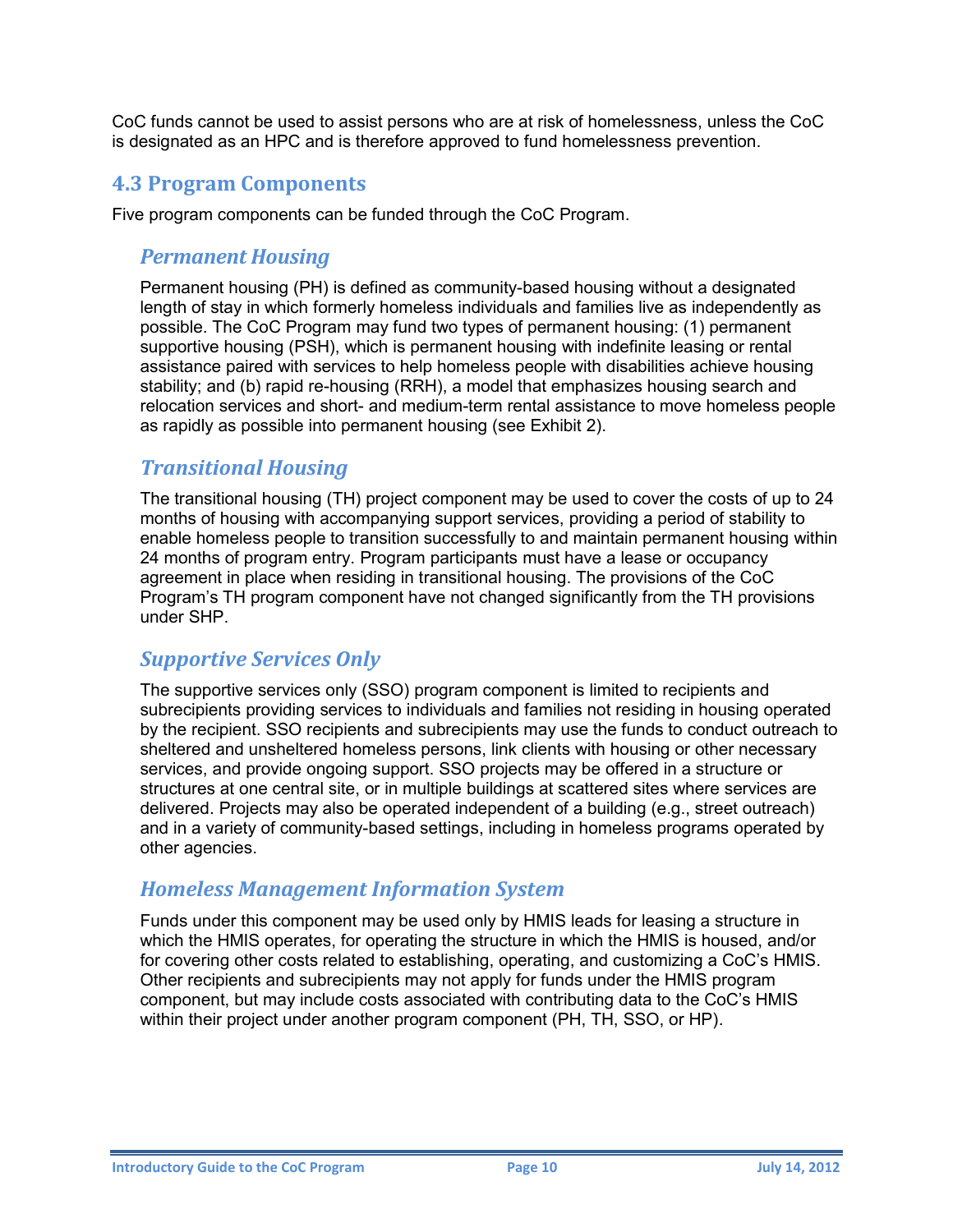CoC funds cannot be used to assist persons who are at risk of homelessness, unless the CoC is designated as an HPC and is therefore approved to fund homelessness prevention.

#### <span id="page-12-0"></span>**4.3 Program Components**

<span id="page-12-1"></span>Five program components can be funded through the CoC Program.

#### *Permanent Housing*

Permanent housing (PH) is defined as community-based housing without a designated length of stay in which formerly homeless individuals and families live as independently as possible. The CoC Program may fund two types of permanent housing: (1) permanent supportive housing (PSH), which is permanent housing with indefinite leasing or rental assistance paired with services to help homeless people with disabilities achieve housing stability; and (b) rapid re-housing (RRH), a model that emphasizes housing search and relocation services and short- and medium-term rental assistance to move homeless people as rapidly as possible into permanent housing (see Exhibit 2).

#### <span id="page-12-2"></span>*Transitional Housing*

The transitional housing (TH) project component may be used to cover the costs of up to 24 months of housing with accompanying support services, providing a period of stability to enable homeless people to transition successfully to and maintain permanent housing within 24 months of program entry. Program participants must have a lease or occupancy agreement in place when residing in transitional housing. The provisions of the CoC Program's TH program component have not changed significantly from the TH provisions under SHP.

#### <span id="page-12-3"></span>*Supportive Services Only*

The supportive services only (SSO) program component is limited to recipients and subrecipients providing services to individuals and families not residing in housing operated by the recipient. SSO recipients and subrecipients may use the funds to conduct outreach to sheltered and unsheltered homeless persons, link clients with housing or other necessary services, and provide ongoing support. SSO projects may be offered in a structure or structures at one central site, or in multiple buildings at scattered sites where services are delivered. Projects may also be operated independent of a building (e.g., street outreach) and in a variety of community-based settings, including in homeless programs operated by other agencies.

#### <span id="page-12-4"></span>*Homeless Management Information System*

Funds under this component may be used only by HMIS leads for leasing a structure in which the HMIS operates, for operating the structure in which the HMIS is housed, and/or for covering other costs related to establishing, operating, and customizing a CoC's HMIS. Other recipients and subrecipients may not apply for funds under the HMIS program component, but may include costs associated with contributing data to the CoC's HMIS within their project under another program component (PH, TH, SSO, or HP).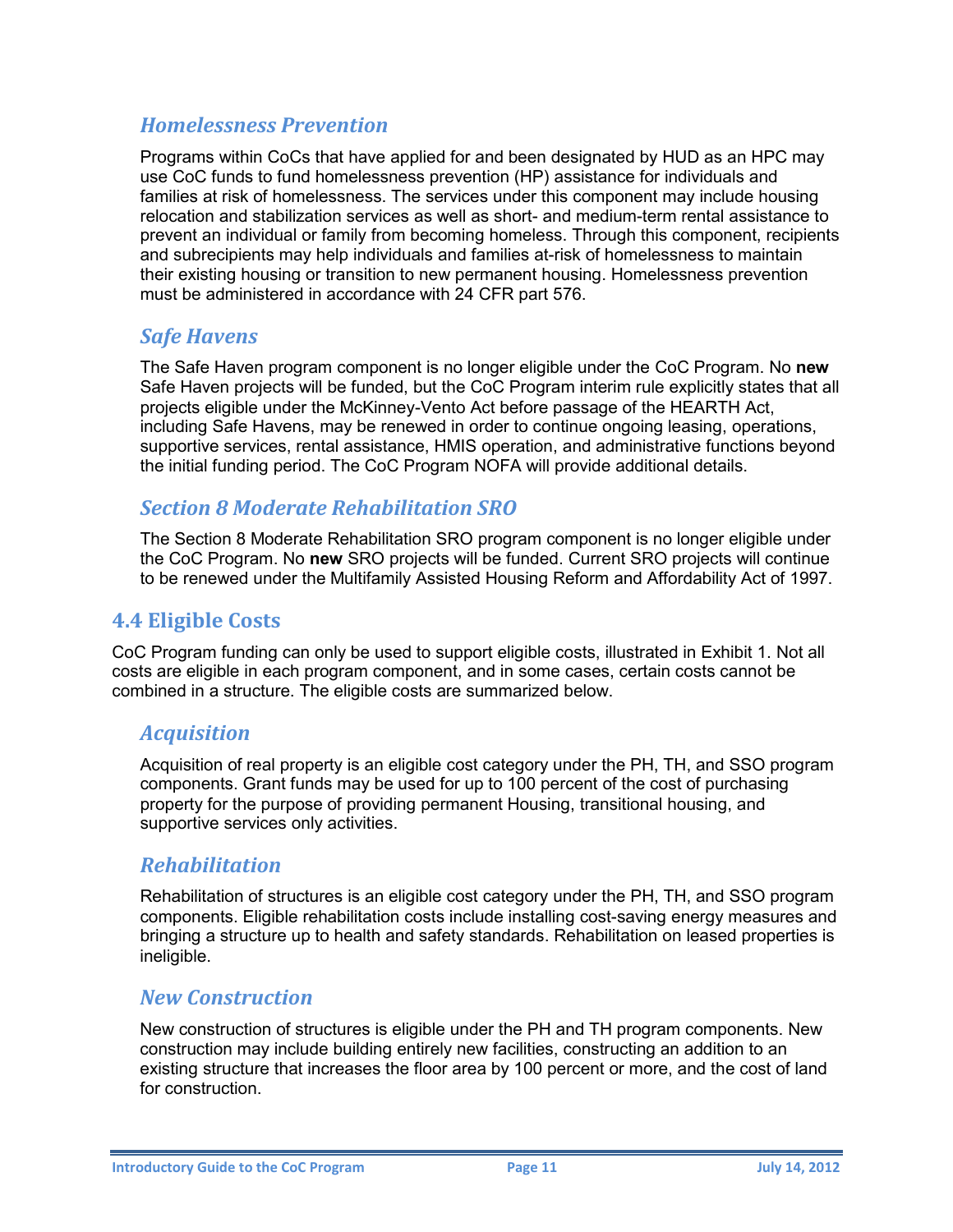#### <span id="page-13-0"></span>*Homelessness Prevention*

Programs within CoCs that have applied for and been designated by HUD as an HPC may use CoC funds to fund homelessness prevention (HP) assistance for individuals and families at risk of homelessness. The services under this component may include housing relocation and stabilization services as well as short- and medium-term rental assistance to prevent an individual or family from becoming homeless. Through this component, recipients and subrecipients may help individuals and families at-risk of homelessness to maintain their existing housing or transition to new permanent housing. Homelessness prevention must be administered in accordance with 24 CFR part 576.

#### <span id="page-13-1"></span>*Safe Havens*

The Safe Haven program component is no longer eligible under the CoC Program. No **new** Safe Haven projects will be funded, but the CoC Program interim rule explicitly states that all projects eligible under the McKinney-Vento Act before passage of the HEARTH Act, including Safe Havens, may be renewed in order to continue ongoing leasing, operations, supportive services, rental assistance, HMIS operation, and administrative functions beyond the initial funding period. The CoC Program NOFA will provide additional details.

#### <span id="page-13-2"></span>*Section 8 Moderate Rehabilitation SRO*

The Section 8 Moderate Rehabilitation SRO program component is no longer eligible under the CoC Program. No **new** SRO projects will be funded. Current SRO projects will continue to be renewed under the Multifamily Assisted Housing Reform and Affordability Act of 1997.

#### <span id="page-13-3"></span>**4.4 Eligible Costs**

CoC Program funding can only be used to support eligible costs, illustrated in Exhibit 1. Not all costs are eligible in each program component, and in some cases, certain costs cannot be combined in a structure. The eligible costs are summarized below.

#### <span id="page-13-4"></span>*Acquisition*

Acquisition of real property is an eligible cost category under the PH, TH, and SSO program components. Grant funds may be used for up to 100 percent of the cost of purchasing property for the purpose of providing permanent Housing, transitional housing, and supportive services only activities.

#### <span id="page-13-5"></span>*Rehabilitation*

Rehabilitation of structures is an eligible cost category under the PH, TH, and SSO program components. Eligible rehabilitation costs include installing cost-saving energy measures and bringing a structure up to health and safety standards. Rehabilitation on leased properties is ineligible.

#### <span id="page-13-6"></span>*New Construction*

New construction of structures is eligible under the PH and TH program components. New construction may include building entirely new facilities, constructing an addition to an existing structure that increases the floor area by 100 percent or more, and the cost of land for construction.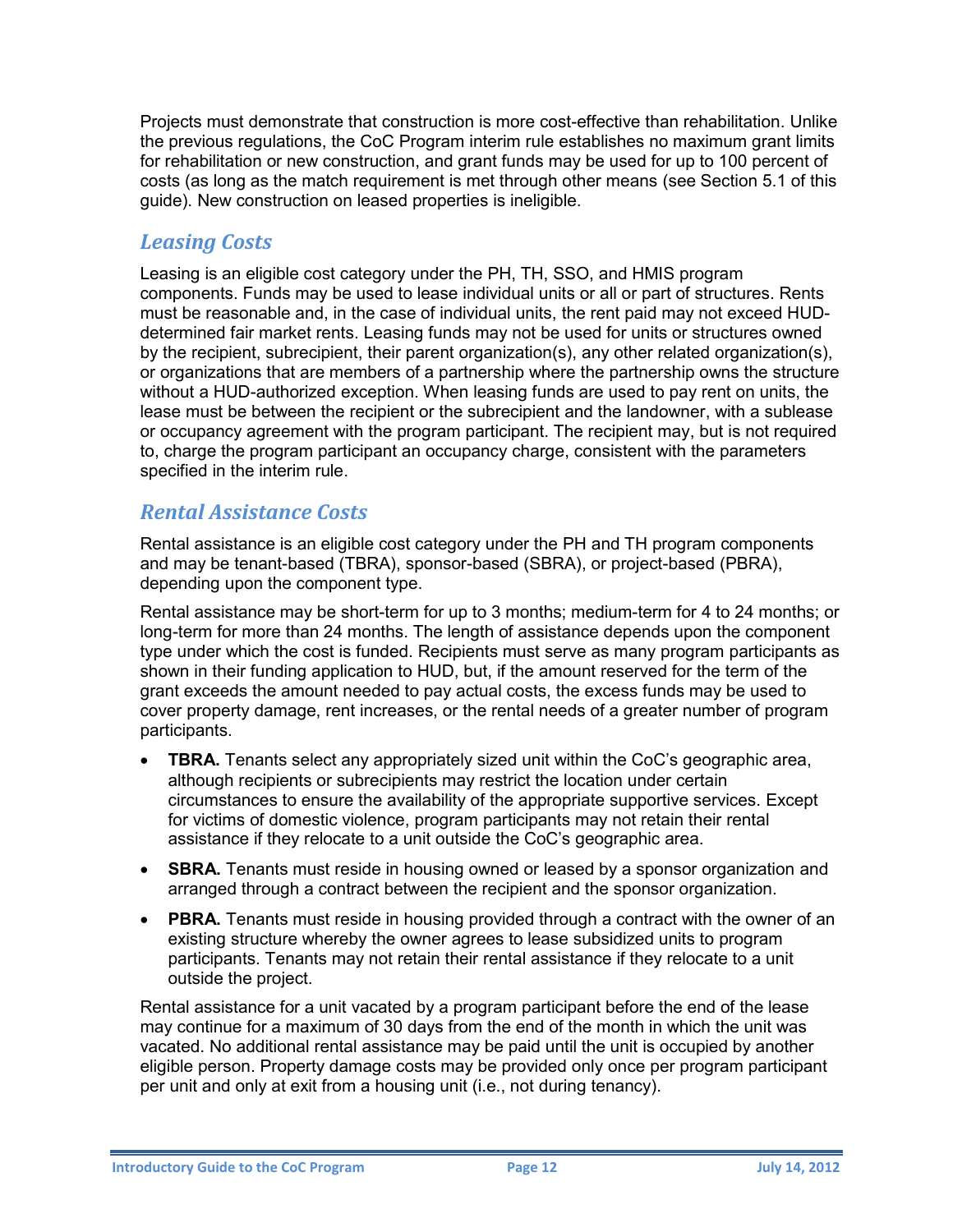Projects must demonstrate that construction is more cost-effective than rehabilitation. Unlike the previous regulations, the CoC Program interim rule establishes no maximum grant limits for rehabilitation or new construction, and grant funds may be used for up to 100 percent of costs (as long as the match requirement is met through other means (see Section 5.1 of this guide). New construction on leased properties is ineligible.

#### <span id="page-14-0"></span>*Leasing Costs*

Leasing is an eligible cost category under the PH, TH, SSO, and HMIS program components. Funds may be used to lease individual units or all or part of structures. Rents must be reasonable and, in the case of individual units, the rent paid may not exceed HUDdetermined fair market rents. Leasing funds may not be used for units or structures owned by the recipient, subrecipient, their parent organization(s), any other related organization(s), or organizations that are members of a partnership where the partnership owns the structure without a HUD-authorized exception. When leasing funds are used to pay rent on units, the lease must be between the recipient or the subrecipient and the landowner, with a sublease or occupancy agreement with the program participant. The recipient may, but is not required to, charge the program participant an occupancy charge, consistent with the parameters specified in the interim rule.

#### <span id="page-14-1"></span>*Rental Assistance Costs*

Rental assistance is an eligible cost category under the PH and TH program components and may be tenant-based (TBRA), sponsor-based (SBRA), or project-based (PBRA), depending upon the component type.

Rental assistance may be short-term for up to 3 months; medium-term for 4 to 24 months; or long-term for more than 24 months. The length of assistance depends upon the component type under which the cost is funded. Recipients must serve as many program participants as shown in their funding application to HUD, but, if the amount reserved for the term of the grant exceeds the amount needed to pay actual costs, the excess funds may be used to cover property damage, rent increases, or the rental needs of a greater number of program participants.

- **TBRA.** Tenants select any appropriately sized unit within the CoC's geographic area, although recipients or subrecipients may restrict the location under certain circumstances to ensure the availability of the appropriate supportive services. Except for victims of domestic violence, program participants may not retain their rental assistance if they relocate to a unit outside the CoC's geographic area.
- **SBRA.** Tenants must reside in housing owned or leased by a sponsor organization and arranged through a contract between the recipient and the sponsor organization.
- **PBRA.** Tenants must reside in housing provided through a contract with the owner of an existing structure whereby the owner agrees to lease subsidized units to program participants. Tenants may not retain their rental assistance if they relocate to a unit outside the project.

Rental assistance for a unit vacated by a program participant before the end of the lease may continue for a maximum of 30 days from the end of the month in which the unit was vacated. No additional rental assistance may be paid until the unit is occupied by another eligible person. Property damage costs may be provided only once per program participant per unit and only at exit from a housing unit (i.e., not during tenancy).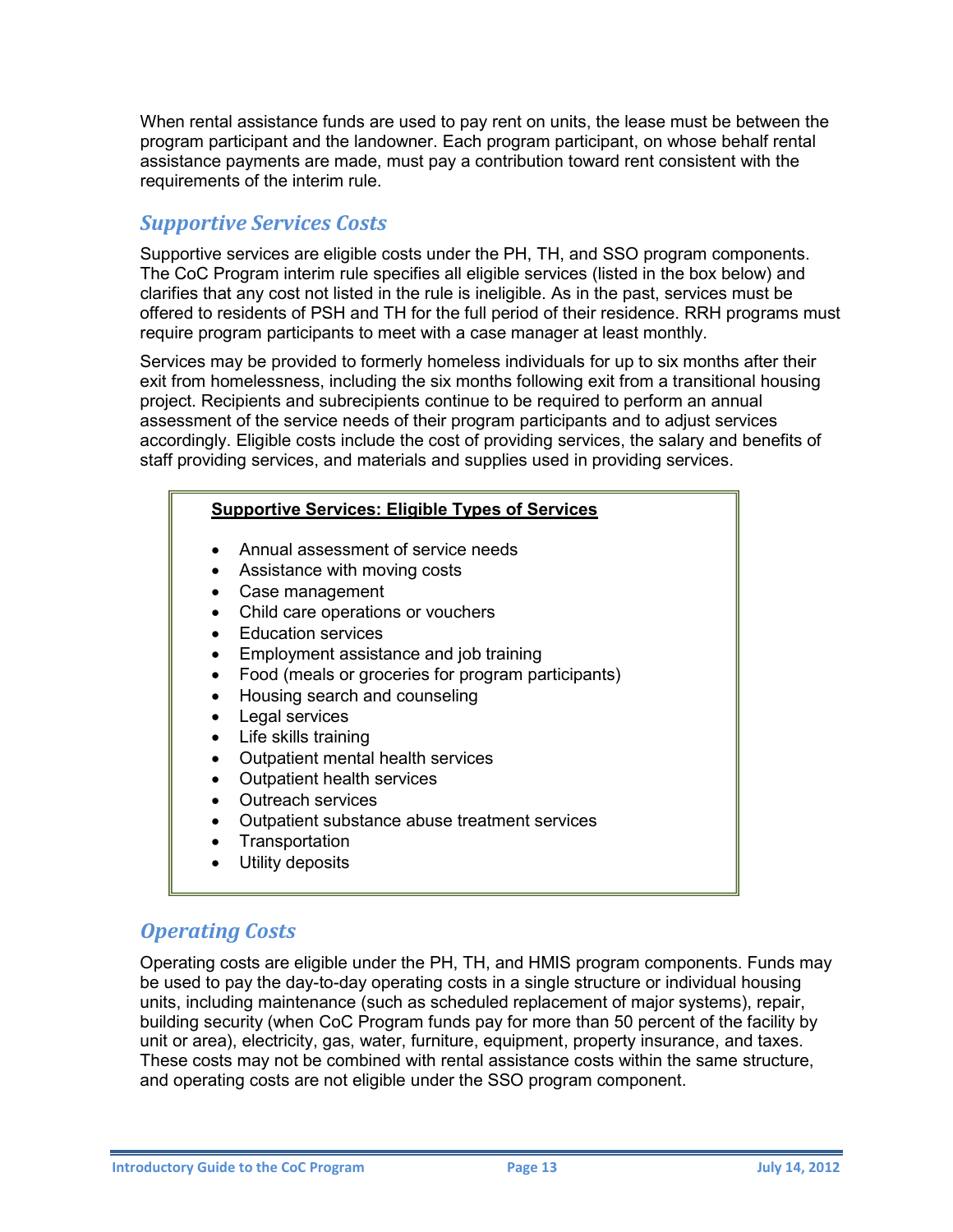When rental assistance funds are used to pay rent on units, the lease must be between the program participant and the landowner. Each program participant, on whose behalf rental assistance payments are made, must pay a contribution toward rent consistent with the requirements of the interim rule.

#### <span id="page-15-0"></span>*Supportive Services Costs*

Supportive services are eligible costs under the PH, TH, and SSO program components. The CoC Program interim rule specifies all eligible services (listed in the box below) and clarifies that any cost not listed in the rule is ineligible. As in the past, services must be offered to residents of PSH and TH for the full period of their residence. RRH programs must require program participants to meet with a case manager at least monthly.

Services may be provided to formerly homeless individuals for up to six months after their exit from homelessness, including the six months following exit from a transitional housing project. Recipients and subrecipients continue to be required to perform an annual assessment of the service needs of their program participants and to adjust services accordingly. Eligible costs include the cost of providing services, the salary and benefits of staff providing services, and materials and supplies used in providing services.

#### **Supportive Services: Eligible Types of Services**

- Annual assessment of service needs
- Assistance with moving costs
- Case management
- Child care operations or vouchers
- Education services
- Employment assistance and job training
- Food (meals or groceries for program participants)
- Housing search and counseling
- Legal services
- Life skills training
- Outpatient mental health services
- Outpatient health services
- Outreach services
- Outpatient substance abuse treatment services
- Transportation
- Utility deposits

#### <span id="page-15-1"></span>*Operating Costs*

Operating costs are eligible under the PH, TH, and HMIS program components. Funds may be used to pay the day-to-day operating costs in a single structure or individual housing units, including maintenance (such as scheduled replacement of major systems), repair, building security (when CoC Program funds pay for more than 50 percent of the facility by unit or area), electricity, gas, water, furniture, equipment, property insurance, and taxes. These costs may not be combined with rental assistance costs within the same structure, and operating costs are not eligible under the SSO program component.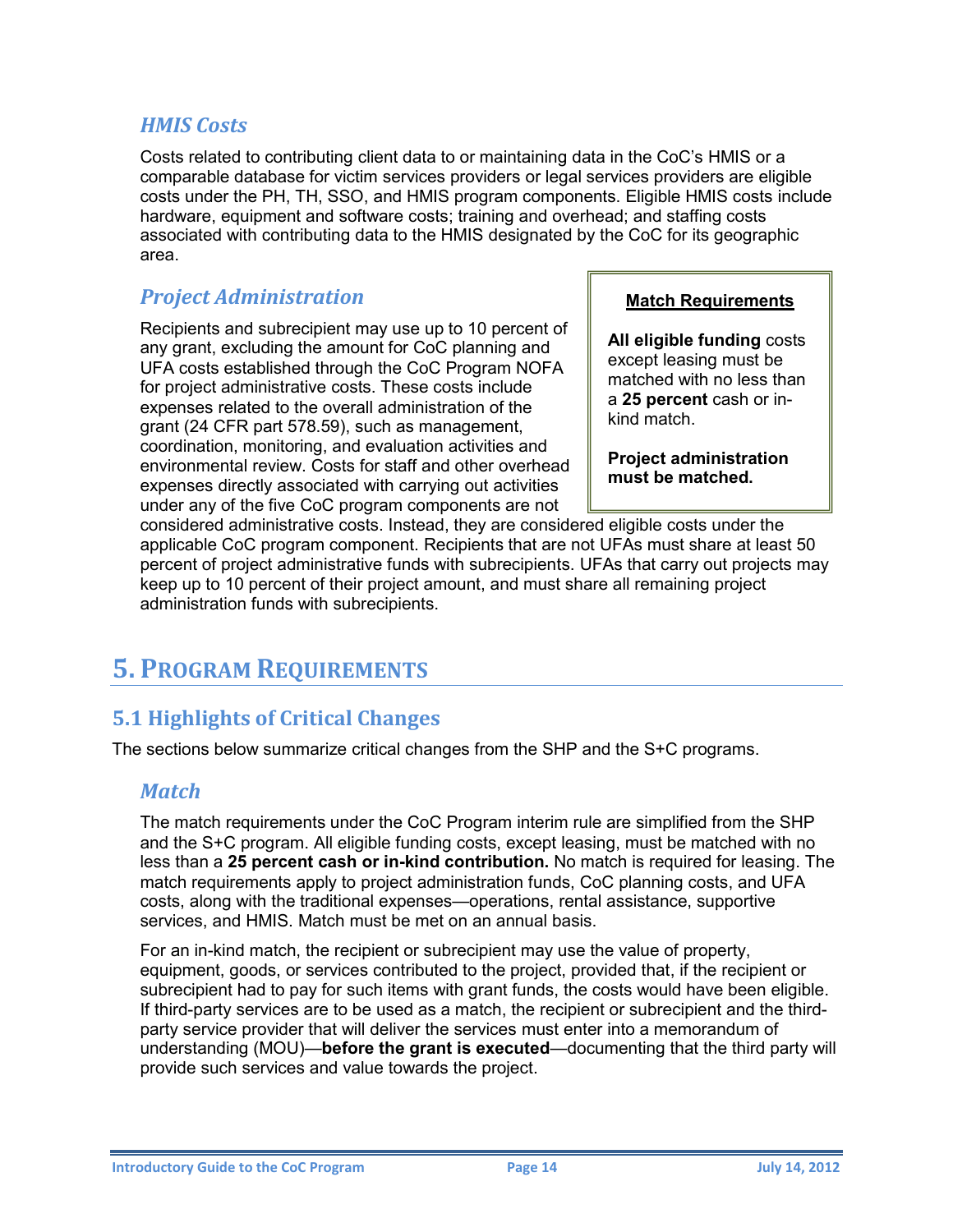#### <span id="page-16-0"></span>*HMIS Costs*

Costs related to contributing client data to or maintaining data in the CoC's HMIS or a comparable database for victim services providers or legal services providers are eligible costs under the PH, TH, SSO, and HMIS program components. Eligible HMIS costs include hardware, equipment and software costs; training and overhead; and staffing costs associated with contributing data to the HMIS designated by the CoC for its geographic area.

#### <span id="page-16-1"></span>*Project Administration*

Recipients and subrecipient may use up to 10 percent of any grant, excluding the amount for CoC planning and UFA costs established through the CoC Program NOFA for project administrative costs. These costs include expenses related to the overall administration of the grant (24 CFR part 578.59), such as management, coordination, monitoring, and evaluation activities and environmental review. Costs for staff and other overhead expenses directly associated with carrying out activities under any of the five CoC program components are not

#### **Match Requirements**

**All eligible funding** costs except leasing must be matched with no less than a **25 percent** cash or inkind match.

**Project administration must be matched.**

considered administrative costs. Instead, they are considered eligible costs under the applicable CoC program component. Recipients that are not UFAs must share at least 50 percent of project administrative funds with subrecipients. UFAs that carry out projects may keep up to 10 percent of their project amount, and must share all remaining project administration funds with subrecipients.

## <span id="page-16-2"></span>**5. PROGRAM REQUIREMENTS**

#### <span id="page-16-3"></span>**5.1 Highlights of Critical Changes**

<span id="page-16-4"></span>The sections below summarize critical changes from the SHP and the S+C programs.

#### *Match*

The match requirements under the CoC Program interim rule are simplified from the SHP and the S+C program. All eligible funding costs, except leasing, must be matched with no less than a **25 percent cash or in-kind contribution.** No match is required for leasing. The match requirements apply to project administration funds, CoC planning costs, and UFA costs, along with the traditional expenses—operations, rental assistance, supportive services, and HMIS. Match must be met on an annual basis.

For an in-kind match, the recipient or subrecipient may use the value of property, equipment, goods, or services contributed to the project, provided that, if the recipient or subrecipient had to pay for such items with grant funds, the costs would have been eligible. If third-party services are to be used as a match, the recipient or subrecipient and the thirdparty service provider that will deliver the services must enter into a memorandum of understanding (MOU)—**before the grant is executed**—documenting that the third party will provide such services and value towards the project.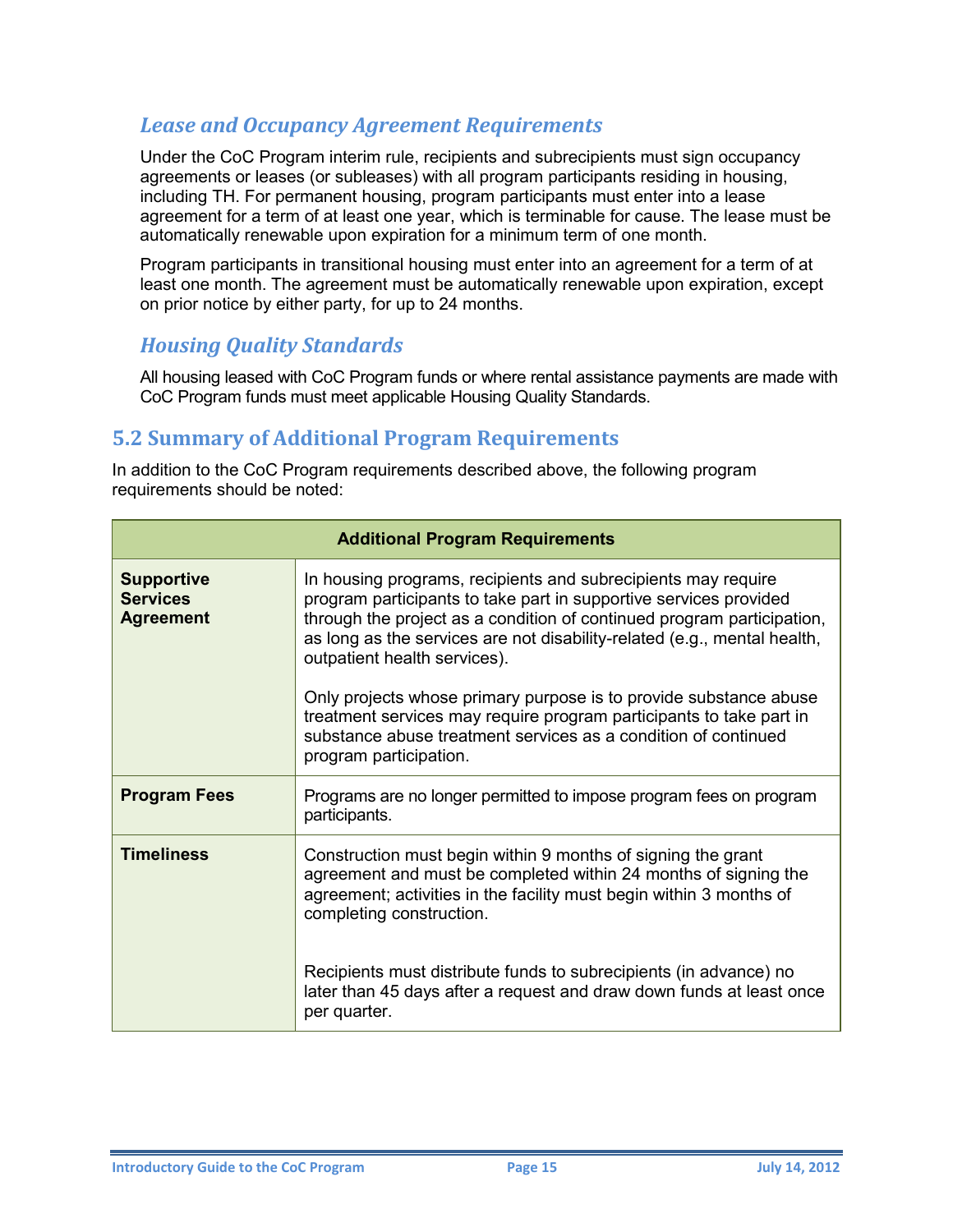#### <span id="page-17-0"></span>*Lease and Occupancy Agreement Requirements*

Under the CoC Program interim rule, recipients and subrecipients must sign occupancy agreements or leases (or subleases) with all program participants residing in housing, including TH. For permanent housing, program participants must enter into a lease agreement for a term of at least one year, which is terminable for cause. The lease must be automatically renewable upon expiration for a minimum term of one month.

Program participants in transitional housing must enter into an agreement for a term of at least one month. The agreement must be automatically renewable upon expiration, except on prior notice by either party, for up to 24 months.

#### <span id="page-17-1"></span>*Housing Quality Standards*

All housing leased with CoC Program funds or where rental assistance payments are made with CoC Program funds must meet applicable Housing Quality Standards.

#### <span id="page-17-2"></span>**5.2 Summary of Additional Program Requirements**

In addition to the CoC Program requirements described above, the following program requirements should be noted:

| <b>Additional Program Requirements</b>                   |                                                                                                                                                                                                                                                                                                                          |  |  |  |
|----------------------------------------------------------|--------------------------------------------------------------------------------------------------------------------------------------------------------------------------------------------------------------------------------------------------------------------------------------------------------------------------|--|--|--|
| <b>Supportive</b><br><b>Services</b><br><b>Agreement</b> | In housing programs, recipients and subrecipients may require<br>program participants to take part in supportive services provided<br>through the project as a condition of continued program participation,<br>as long as the services are not disability-related (e.g., mental health,<br>outpatient health services). |  |  |  |
|                                                          | Only projects whose primary purpose is to provide substance abuse<br>treatment services may require program participants to take part in<br>substance abuse treatment services as a condition of continued<br>program participation.                                                                                     |  |  |  |
| <b>Program Fees</b>                                      | Programs are no longer permitted to impose program fees on program<br>participants.                                                                                                                                                                                                                                      |  |  |  |
| <b>Timeliness</b>                                        | Construction must begin within 9 months of signing the grant<br>agreement and must be completed within 24 months of signing the<br>agreement; activities in the facility must begin within 3 months of<br>completing construction.                                                                                       |  |  |  |
|                                                          | Recipients must distribute funds to subrecipients (in advance) no<br>later than 45 days after a request and draw down funds at least once<br>per quarter.                                                                                                                                                                |  |  |  |